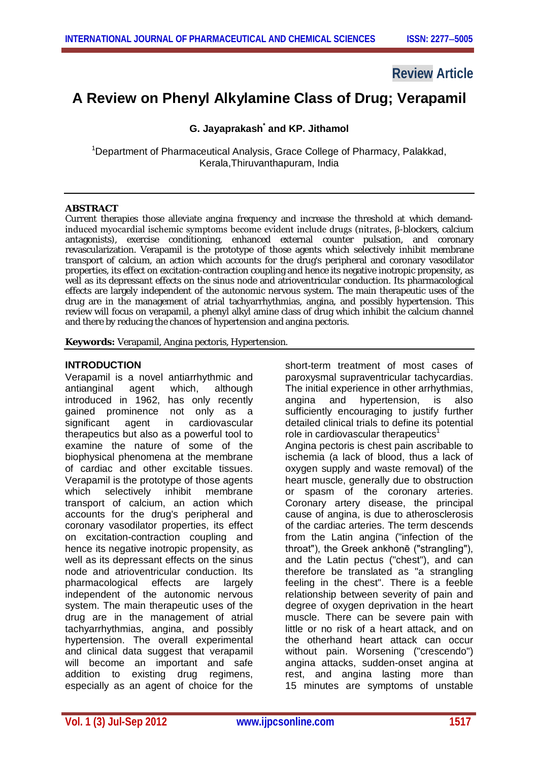## **Review Article**

# **A Review on Phenyl Alkylamine Class of Drug; Verapamil**

## **G. Jayaprakash\* and KP. Jithamol**

<sup>1</sup>Department of Pharmaceutical Analysis, Grace College of Pharmacy, Palakkad, Kerala,Thiruvanthapuram, India

#### **ABSTRACT**

Current therapies those alleviate angina frequency and increase the threshold at which demandinduced myocardial ischemic symptoms become evident include drugs (nitrates, β-blockers, calcium antagonists), exercise conditioning, enhanced external counter pulsation, and coronary revascularization. Verapamil is the prototype of those agents which selectively inhibit membrane transport of calcium, an action which accounts for the drug's peripheral and coronary vasodilator properties, its effect on excitation-contraction coupling and hence its negative inotropic propensity, as well as its depressant effects on the sinus node and atrioventricular conduction. Its pharmacological effects are largely independent of the autonomic nervous system. The main therapeutic uses of the drug are in the management of atrial tachyarrhythmias, angina, and possibly hypertension. This review will focus on verapamil, a phenyl alkyl amine class of drug which inhibit the calcium channel and there by reducing the chances of hypertension and angina pectoris.

**Keywords:** Verapamil, Angina pectoris, Hypertension.

## **INTRODUCTION**

Verapamil is a novel antiarrhythmic and antianginal agent which, although introduced in 1962, has only recently gained prominence not only as a significant agent in cardiovascular therapeutics but also as a powerful tool to examine the nature of some of the biophysical phenomena at the membrane of cardiac and other excitable tissues. Verapamil is the prototype of those agents which selectively inhibit membrane transport of calcium, an action which accounts for the drug's peripheral and coronary vasodilator properties, its effect on excitation-contraction coupling and hence its negative inotropic propensity, as well as its depressant effects on the sinus node and atrioventricular conduction. Its pharmacological effects are largely independent of the autonomic nervous system. The main therapeutic uses of the drug are in the management of atrial tachyarrhythmias, angina, and possibly hypertension. The overall experimental and clinical data suggest that verapamil will become an important and safe addition to existing drug regimens, especially as an agent of choice for the short-term treatment of most cases of paroxysmal supraventricular tachycardias. The initial experience in other arrhythmias, angina and hypertension, is also sufficiently encouraging to justify further detailed clinical trials to define its potential role in cardiovascular therapeutics<sup>1</sup> Angina pectoris is chest pain ascribable to ischemia (a lack of blood, thus a lack of oxygen supply and waste removal) of the heart muscle, generally due to obstruction or spasm of the coronary arteries. Coronary artery disease, the principal cause of angina, is due to atherosclerosis of the cardiac arteries. The term descends from the Latin angina ("infection of the throat"), the Greek ankhonē ("strangling"), and the Latin pectus ("chest"), and can therefore be translated as "a strangling feeling in the chest". There is a feeble relationship between severity of pain and degree of oxygen deprivation in the heart muscle. There can be severe pain with little or no risk of a heart attack, and on the otherhand heart attack can occur without pain. Worsening ("crescendo") angina attacks, sudden-onset angina at rest, and angina lasting more than 15 minutes are symptoms of unstable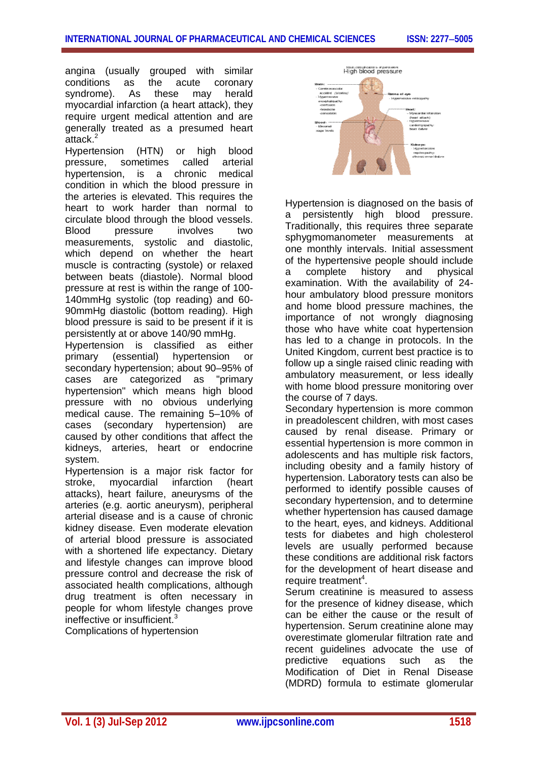angina (usually grouped with similar conditions as the acute coronary syndrome). As these may herald myocardial infarction (a heart attack), they require urgent medical attention and are generally treated as a presumed heart attack.<sup>2</sup>

Hypertension (HTN) or high blood pressure, sometimes called arterial hypertension, is a chronic medical condition in which the blood pressure in the arteries is elevated. This requires the heart to work harder than normal to circulate blood through the blood vessels. Blood pressure involves two measurements, systolic and diastolic, which depend on whether the heart muscle is contracting (systole) or relaxed between beats (diastole). Normal blood pressure at rest is within the range of 100- 140mmHg systolic (top reading) and 60- 90mmHg diastolic (bottom reading). High blood pressure is said to be present if it is persistently at or above 140/90 mmHg.

Hypertension is classified as either primary (essential) hypertension or secondary hypertension; about 90–95% of cases are categorized as "primary hypertension" which means high blood pressure with no obvious underlying medical cause. The remaining 5–10% of cases (secondary hypertension) are caused by other conditions that affect the kidneys, arteries, heart or endocrine system.

Hypertension is a major risk factor for stroke, myocardial infarction (heart attacks), heart failure, aneurysms of the arteries (e.g. aortic aneurysm), peripheral arterial disease and is a cause of chronic kidney disease. Even moderate elevation of arterial blood pressure is associated with a shortened life expectancy. Dietary and lifestyle changes can improve blood pressure control and decrease the risk of associated health complications, although drug treatment is often necessary in people for whom lifestyle changes prove ineffective or insufficient.<sup>3</sup>

Complications of hypertension



Hypertension is diagnosed on the basis of a persistently high blood pressure. Traditionally, this requires three separate sphygmomanometer measurements at one monthly intervals. Initial assessment of the hypertensive people should include a complete history and physical examination. With the availability of 24 hour ambulatory blood pressure monitors and home blood pressure machines, the importance of not wrongly diagnosing those who have white coat hypertension has led to a change in protocols. In the United Kingdom, current best practice is to follow up a single raised clinic reading with ambulatory measurement, or less ideally with home blood pressure monitoring over the course of 7 days.

Secondary hypertension is more common in preadolescent children, with most cases caused by renal disease. Primary or essential hypertension is more common in adolescents and has multiple risk factors, including obesity and a family history of hypertension. Laboratory tests can also be performed to identify possible causes of secondary hypertension, and to determine whether hypertension has caused damage to the heart, eyes, and kidneys. Additional tests for diabetes and high cholesterol levels are usually performed because these conditions are additional risk factors for the development of heart disease and require treatment<sup>4</sup>.

Serum creatinine is measured to assess for the presence of kidney disease, which can be either the cause or the result of hypertension. Serum creatinine alone may overestimate glomerular filtration rate and recent guidelines advocate the use of predictive equations such as the equations such as the Modification of Diet in Renal Disease (MDRD) formula to estimate glomerular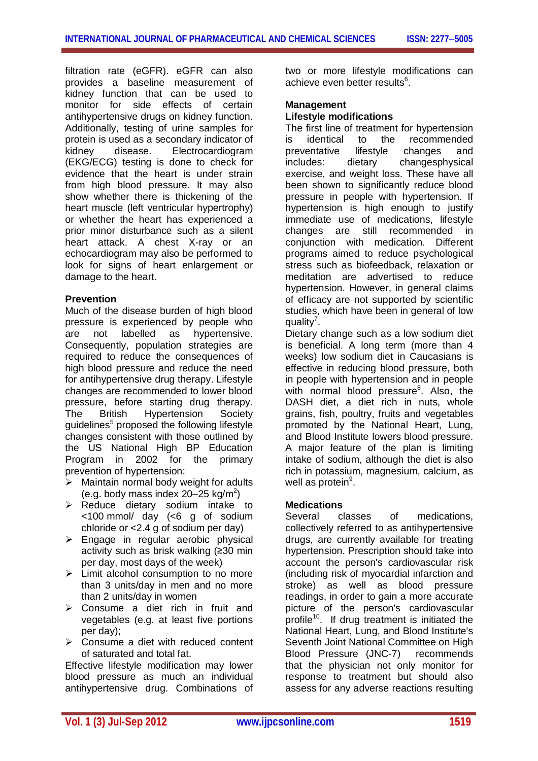filtration rate (eGFR). eGFR can also provides a baseline measurement of kidney function that can be used to monitor for side effects of certain antihypertensive drugs on kidney function. Additionally, testing of urine samples for protein is used as a secondary indicator of<br>kidney disease. Electrocardiogram disease. Electrocardiogram (EKG/ECG) testing is done to check for evidence that the heart is under strain from high blood pressure. It may also show whether there is thickening of the heart muscle (left ventricular hypertrophy) or whether the heart has experienced a prior minor disturbance such as a silent heart attack. A chest X-ray or an echocardiogram may also be performed to look for signs of heart enlargement or damage to the heart.

## **Prevention**

Much of the disease burden of high blood pressure is experienced by people who are not labelled as hypertensive. Consequently, population strategies are required to reduce the consequences of high blood pressure and reduce the need for antihypertensive drug therapy. Lifestyle changes are recommended to lower blood pressure, before starting drug therapy. The British Hypertension Society guidelines<sup>5</sup> proposed the following lifestyle changes consistent with those outlined by the US National High BP Education Program in 2002 for the primary prevention of hypertension:

- $\triangleright$  Maintain normal body weight for adults (e.g. body mass index 20 $-25$  kg/m<sup>2</sup>)
- $\triangleright$  Reduce dietary sodium intake to <100 mmol/ day (<6 g of sodium chloride or <2.4 g of sodium per day)
- $\triangleright$  Engage in regular aerobic physical activity such as brisk walking (≥30 min per day, most days of the week)
- $\triangleright$  Limit alcohol consumption to no more than 3 units/day in men and no more than 2 units/day in women
- $\triangleright$  Consume a diet rich in fruit and vegetables (e.g. at least five portions per day);
- $\triangleright$  Consume a diet with reduced content of saturated and total fat.

Effective lifestyle modification may lower blood pressure as much an individual antihypertensive drug. Combinations of two or more lifestyle modifications can achieve even better results<sup>6</sup>.

## **Management**

## **Lifestyle modifications**

The first line of treatment for hypertension is identical to the recommended preventative lifestyle changes and includes: dietary changesphysical exercise, and weight loss. These have all been shown to significantly reduce blood pressure in people with hypertension. If hypertension is high enough to justify immediate use of medications, lifestyle changes are still recommended in conjunction with medication. Different programs aimed to reduce psychological stress such as biofeedback, relaxation or meditation are advertised to reduce hypertension. However, in general claims of efficacy are not supported by scientific studies, which have been in general of low quality<sup>7</sup>.

Dietary change such as a low sodium diet is beneficial. A long term (more than 4 weeks) low sodium diet in Caucasians is effective in reducing blood pressure, both in people with hypertension and in people with normal blood pressure<sup>8</sup>. Also, the DASH diet, a diet rich in nuts, whole grains, fish, poultry, fruits and vegetables promoted by the National Heart, Lung, and Blood Institute lowers blood pressure. A major feature of the plan is limiting intake of sodium, although the diet is also rich in potassium, magnesium, calcium, as well as protein<sup>9</sup>.

## **Medications**

Several classes of medications. collectively referred to as antihypertensive drugs, are currently available for treating hypertension. Prescription should take into account the person's cardiovascular risk (including risk of myocardial infarction and stroke) as well as blood pressure readings, in order to gain a more accurate picture of the person's cardiovascular profile<sup>10</sup>. If drug treatment is initiated the National Heart, Lung, and Blood Institute's Seventh Joint National Committee on High Blood Pressure (JNC-7) recommends that the physician not only monitor for response to treatment but should also assess for any adverse reactions resulting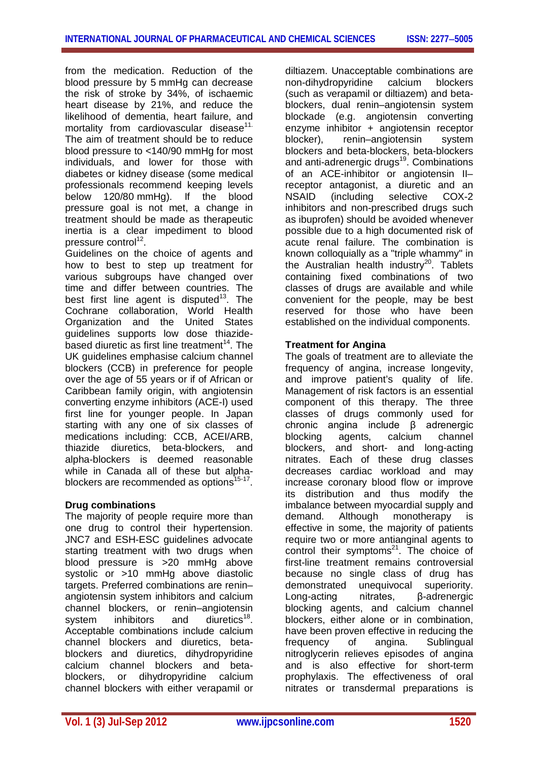from the medication. Reduction of the blood pressure by 5 mmHg can decrease the risk of stroke by 34%, of ischaemic heart disease by 21%, and reduce the likelihood of dementia, heart failure, and mortality from cardiovascular disease<sup>11.</sup> The aim of treatment should be to reduce blood pressure to <140/90 mmHg for most individuals, and lower for those with diabetes or kidney disease (some medical professionals recommend keeping levels below 120/80 mmHg). If the blood pressure goal is not met, a change in treatment should be made as therapeutic inertia is a clear impediment to blood pressure control<sup>12</sup>.

Guidelines on the choice of agents and how to best to step up treatment for various subgroups have changed over time and differ between countries. The best first line agent is disputed<sup>13</sup>. The Cochrane collaboration, World Health Organization and the United States guidelines supports low dose thiazidebased diuretic as first line treatment<sup>14</sup>. The UK guidelines emphasise calcium channel blockers (CCB) in preference for people over the age of 55 years or if of African or Caribbean family origin, with angiotensin converting enzyme inhibitors (ACE-I) used first line for younger people. In Japan starting with any one of six classes of medications including: CCB, ACEI/ARB, thiazide diuretics, beta-blockers, and alpha-blockers is deemed reasonable while in Canada all of these but alphablockers are recommended as options<sup>15-17</sup>.

## **Drug combinations**

The majority of people require more than one drug to control their hypertension. JNC7 and ESH-ESC guidelines advocate starting treatment with two drugs when blood pressure is >20 mmHg above systolic or >10 mmHg above diastolic targets. Preferred combinations are renin– angiotensin system inhibitors and calcium channel blockers, or renin–angiotensin system inhibitors and diuretics<sup>18</sup>. Acceptable combinations include calcium channel blockers and diuretics, betablockers and diuretics, dihydropyridine calcium channel blockers and betablockers, or dihydropyridine calcium channel blockers with either verapamil or

diltiazem. Unacceptable combinations are non-dihydropyridine calcium blockers (such as verapamil or diltiazem) and betablockers, dual renin–angiotensin system blockade (e.g. angiotensin converting enzyme inhibitor + angiotensin receptor blocker), renin–angiotensin system blockers and beta-blockers, beta-blockers and anti-adrenergic drugs<sup>19</sup>. Combinations of an ACE-inhibitor or angiotensin II– receptor antagonist, a diuretic and an NSAID (including selective COX-2 inhibitors and non-prescribed drugs such as ibuprofen) should be avoided whenever possible due to a high documented risk of acute renal failure. The combination is known colloquially as a "triple whammy" in the Australian health industry<sup>20</sup>. Tablets containing fixed combinations of two classes of drugs are available and while convenient for the people, may be best reserved for those who have been established on the individual components.

## **Treatment for Angina**

The goals of treatment are to alleviate the frequency of angina, increase longevity, and improve patient's quality of life. Management of risk factors is an essential component of this therapy. The three classes of drugs commonly used for chronic angina include β adrenergic blocking agents, calcium channel blockers, and short- and long-acting nitrates. Each of these drug classes decreases cardiac workload and may increase coronary blood flow or improve its distribution and thus modify the imbalance between myocardial supply and demand. Although monotherapy is effective in some, the majority of patients require two or more antianginal agents to control their symptoms $21$ . The choice of first-line treatment remains controversial because no single class of drug has demonstrated unequivocal superiority. Long-acting nitrates, β-adrenergic blocking agents, and calcium channel blockers, either alone or in combination, have been proven effective in reducing the frequency of angina. Sublingual nitroglycerin relieves episodes of angina and is also effective for short-term prophylaxis. The effectiveness of oral nitrates or transdermal preparations is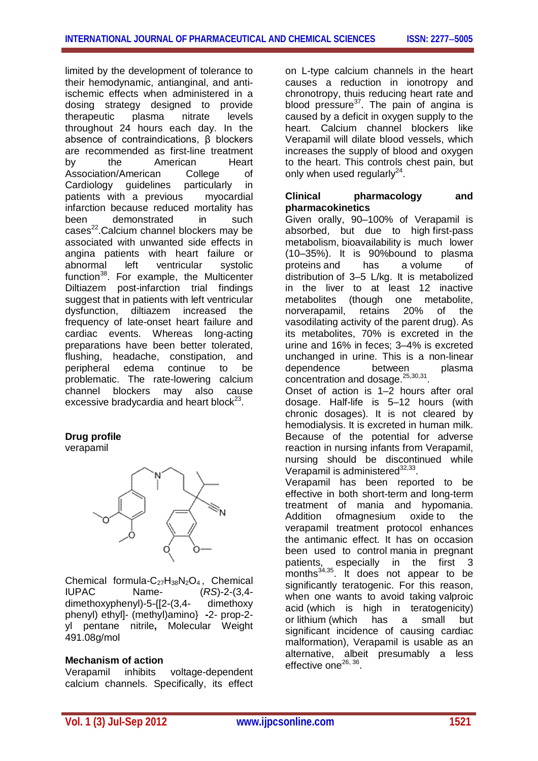limited by the development of tolerance to their hemodynamic, antianginal, and antiischemic effects when administered in a dosing strategy designed to provide therapeutic plasma nitrate levels throughout 24 hours each day. In the absence of contraindications, β blockers are recommended as first-line treatment by the American Heart Association/American College of Cardiology guidelines particularly in<br>patients with a previous mvocardial patients with a previous infarction because reduced mortality has been demonstrated in such cases<sup>22</sup>. Calcium channel blockers may be associated with unwanted side effects in angina patients with heart failure or abnormal left ventricular systolic function<sup>38</sup>. For example, the Multicenter Diltiazem post-infarction trial findings suggest that in patients with left ventricular dysfunction, diltiazem increased the frequency of late-onset heart failure and cardiac events. Whereas long-acting preparations have been better tolerated, flushing, headache, constipation, and peripheral edema continue to be problematic. The rate-lowering calcium channel blockers may also cause excessive bradycardia and heart block $^{23}$ .

## **Drug profile**

verapamil



Chemical formula-C<sub>27</sub>H<sub>38</sub>N<sub>2</sub>O<sub>4</sub>, Chemical IUPAC Name-<br> $(RS)$ -2-(3.4-IUPAC Name- (*RS*)-2-(3,4 dimethoxyphenyl)-5-{[2-(3,4- dimethoxy phenyl) ethyl]- (methyl)amino} **-**2- prop-2 yl pentane nitrile**,** Molecular Weight 491.08g/mol

## **Mechanism of action**

Verapamil inhibits voltage-dependent calcium channels. Specifically, its effect on L-type calcium channels in the heart causes a reduction in ionotropy and chronotropy, thuis reducing heart rate and blood pressure<sup>37</sup>. The pain of angina is caused by a deficit in oxygen supply to the heart. Calcium channel blockers like Verapamil will dilate blood vessels, which increases the supply of blood and oxygen to the heart. This controls chest pain, but only when used regularly $^{24}$ .

## **Clinical pharmacology and pharmacokinetics**

Given orally, 90–100% of Verapamil is absorbed, but due to high first-pass metabolism, bioavailability is much lower (10–35%). It is 90%bound to plasma proteins and has a volume of distribution of 3–5 L/kg. It is metabolized in the liver to at least 12 inactive metabolites (though one metabolite, norverapamil, retains 20% of the vasodilating activity of the parent drug). As its metabolites, 70% is excreted in the urine and 16% in feces; 3–4% is excreted unchanged in urine. This is a non-linear dependence between plasma concentration and dosage.<sup>25,30,31</sup>.

Onset of action is 1–2 hours after oral dosage. Half-life is 5–12 hours (with chronic dosages). It is not cleared by hemodialysis. It is excreted in human milk. Because of the potential for adverse reaction in nursing infants from Verapamil, nursing should be discontinued while Verapamil is administered<sup>32,33</sup>.

Verapamil has been reported to be effective in both short-term and long-term treatment of mania and hypomania. Addition ofmagnesium oxide to the verapamil treatment protocol enhances the antimanic effect. It has on occasion been used to control mania in pregnant patients, especially in the first 3 months $34,35$ . It does not appear to be significantly teratogenic. For this reason, when one wants to avoid taking valproic acid (which is high in teratogenicity) or lithium (which has a small but significant incidence of causing cardiac malformation), Verapamil is usable as an alternative, albeit presumably a less effective one<sup>26, 36</sup>.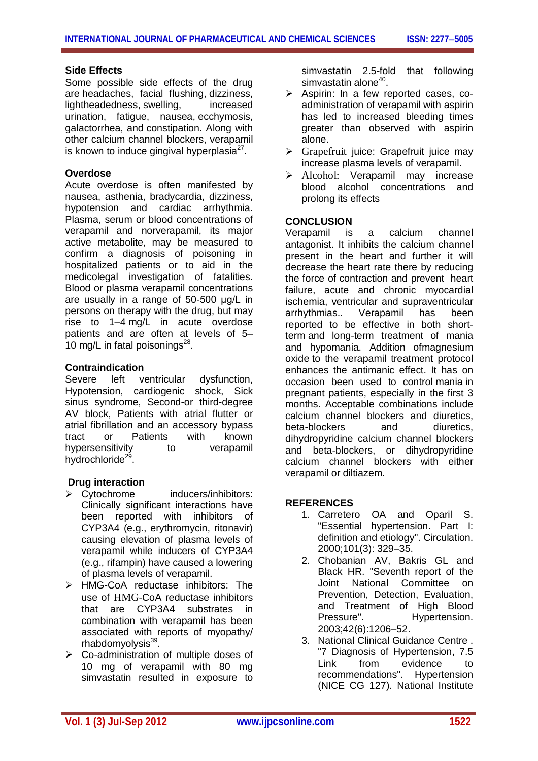## **Side Effects**

Some possible side effects of the drug are headaches, facial flushing, dizziness, lightheadedness, swelling, increased urination, fatigue, nausea, ecchymosis, galactorrhea, and constipation. Along with other calcium channel blockers, verapamil is known to induce gingival hyperplasia $^{27}$ .

#### **Overdose**

Acute overdose is often manifested by nausea, asthenia, bradycardia, dizziness, hypotension and cardiac arrhythmia. Plasma, serum or blood concentrations of verapamil and norverapamil, its major active metabolite, may be measured to confirm a diagnosis of poisoning in hospitalized patients or to aid in the medicolegal investigation of fatalities. Blood or plasma verapamil concentrations are usually in a range of 50-500 μg/L in persons on therapy with the drug, but may rise to 1–4 mg/L in acute overdose patients and are often at levels of 5– 10 mg/L in fatal poisonings $^{28}$ .

#### **Contraindication**

Severe left ventricular dysfunction, Hypotension, cardiogenic shock, Sick sinus syndrome, Second-or third-degree AV block, Patients with atrial flutter or atrial fibrillation and an accessory bypass tract or Patients with known hypersensitivity to verapamil hydrochloride<sup>29</sup>.

## **Drug interaction**

- Cytochrome inducers/inhibitors: Clinically significant interactions have been reported with inhibitors of CYP3A4 (e.g., erythromycin, ritonavir) causing elevation of plasma levels of verapamil while inducers of CYP3A4 (e.g., rifampin) have caused a lowering of plasma levels of verapamil.
- > HMG-CoA reductase inhibitors: The use of HMG-CoA reductase inhibitors that are CYP3A4 substrates in combination with verapamil has been associated with reports of myopathy/ rhabdomyolysis<sup>39</sup>.
- $\triangleright$  Co-administration of multiple doses of 10 mg of verapamil with 80 mg simvastatin resulted in exposure to

simvastatin 2.5-fold that following simvastatin alone<sup>40</sup>.

- $\triangleright$  Aspirin: In a few reported cases, coadministration of verapamil with aspirin has led to increased bleeding times greater than observed with aspirin alone.
- $\triangleright$  Grapefruit juice: Grapefruit juice may increase plasma levels of verapamil.
- > Alcohol: Verapamil may increase blood alcohol concentrations and prolong its effects

## **CONCLUSION**

Verapamil is a calcium channel antagonist. It inhibits the calcium channel present in the heart and further it will decrease the heart rate there by reducing the force of contraction and prevent heart failure, acute and chronic myocardial ischemia, ventricular and supraventricular arrhythmias.. Verapamil has been reported to be effective in both shortterm and long-term treatment of mania and hypomania. Addition ofmagnesium oxide to the verapamil treatment protocol enhances the antimanic effect. It has on occasion been used to control mania in pregnant patients, especially in the first 3 months. Acceptable combinations include calcium channel blockers and diuretics, beta-blockers and diuretics, dihydropyridine calcium channel blockers and beta-blockers, or dihydropyridine calcium channel blockers with either verapamil or diltiazem.

## **REFERENCES**

- 1. Carretero OA and Oparil S. "Essential hypertension. Part I: definition and etiology". Circulation. 2000;101(3): 329–35.
- 2. Chobanian AV, Bakris GL and Black HR. "Seventh report of the Joint National Committee on Prevention, Detection, Evaluation, and Treatment of High Blood Pressure". Hypertension. 2003;42(6):1206–52.
- 3. National Clinical Guidance Centre . "7 Diagnosis of Hypertension, 7.5 Link from evidence to recommendations". Hypertension (NICE CG 127). National Institute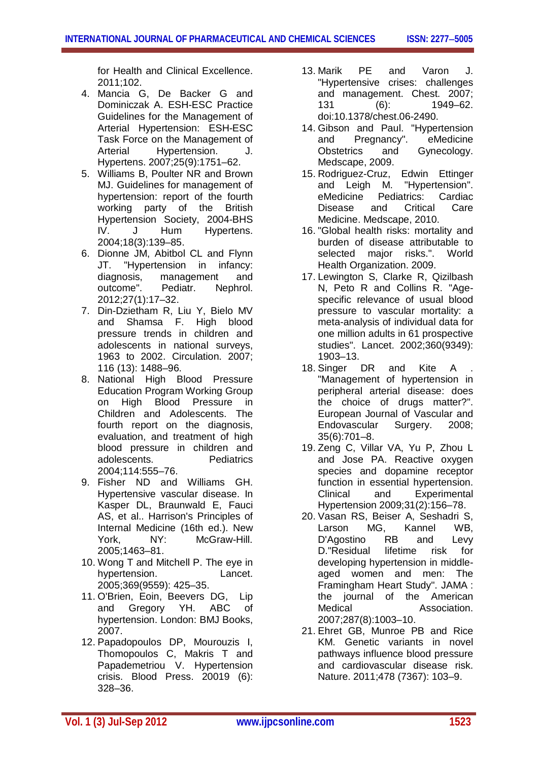for Health and Clinical Excellence. 2011;102.

- 4. Mancia G, De Backer G and Dominiczak A. ESH-ESC Practice Guidelines for the Management of Arterial Hypertension: ESH-ESC Task Force on the Management of Arterial Hypertension. J. Hypertens. 2007;25(9):1751–62.
- 5. Williams B, Poulter NR and Brown MJ. Guidelines for management of hypertension: report of the fourth working party of the British Hypertension Society, 2004-BHS IV. J Hum Hypertens. 2004;18(3):139–85.
- 6. Dionne JM, Abitbol CL and Flynn JT. "Hypertension in infancy: diagnosis, management and outcome". Pediatr. Nephrol. 2012;27(1):17–32.
- 7. Din-Dzietham R, Liu Y, Bielo MV and Shamsa F. High blood pressure trends in children and adolescents in national surveys, 1963 to 2002. Circulation. 2007; 116 (13): 1488–96.
- 8. National High Blood Pressure Education Program Working Group on High Blood Pressure in Children and Adolescents. The fourth report on the diagnosis, evaluation, and treatment of high blood pressure in children and adolescents. Pediatrics 2004;114:555–76.
- 9. Fisher ND and Williams GH. Hypertensive vascular disease. In Kasper DL, Braunwald E, Fauci AS, et al.. Harrison's Principles of Internal Medicine (16th ed.). New<br>York. NY: McGraw-Hill. York. NY: McGraw-Hill. 2005;1463–81.
- 10. Wong T and Mitchell P. The eye in hypertension. Lancet. 2005;369(9559): 425–35.
- 11. O'Brien, Eoin, Beevers DG, Lip and Gregory YH. ABC of hypertension. London: BMJ Books, 2007.
- 12. Papadopoulos DP, Mourouzis I, Thomopoulos C, Makris T and Papademetriou V. Hypertension crisis. Blood Press. 20019 (6): 328–36.
- 13. Marik PE and Varon J. "Hypertensive crises: challenges and management. Chest. 2007; 131 (6): 1949–62. doi:10.1378/chest.06-2490.
- 14. Gibson and Paul. "Hypertension and Pregnancy". eMedicine Obstetrics and Gynecology. Medscape, 2009.
- 15. Rodriguez-Cruz, Edwin Ettinger and Leigh M. "Hypertension".<br>eMedicine Pediatrics: Cardiac eMedicine Pediatrics: Cardiac Disease and Critical Care Medicine. Medscape, 2010.
- 16. "Global health risks: mortality and burden of disease attributable to selected major risks.". World Health Organization. 2009.
- 17. Lewington S, Clarke R, Qizilbash N, Peto R and Collins R. "Agespecific relevance of usual blood pressure to vascular mortality: a meta-analysis of individual data for one million adults in 61 prospective studies". Lancet. 2002;360(9349): 1903–13.
- 18. Singer DR and Kite A . "Management of hypertension in peripheral arterial disease: does the choice of drugs matter?". European Journal of Vascular and Endovascular Surgery. 2008; 35(6):701–8.
- 19. Zeng C, Villar VA, Yu P, Zhou L and Jose PA. Reactive oxygen species and dopamine receptor function in essential hypertension. Clinical and Experimental Hypertension 2009;31(2):156–78.
- 20. Vasan RS, Beiser A, Seshadri S, Larson MG, Kannel WB,<br>D'Agostino RB and Levy D'Agostino RB and D."Residual lifetime risk for developing hypertension in middleaged women and men: The Framingham Heart Study". JAMA : the journal of the American Medical Association. 2007;287(8):1003–10.
- 21. Ehret GB, Munroe PB and Rice KM. Genetic variants in novel pathways influence blood pressure and cardiovascular disease risk. Nature. 2011;478 (7367): 103–9.